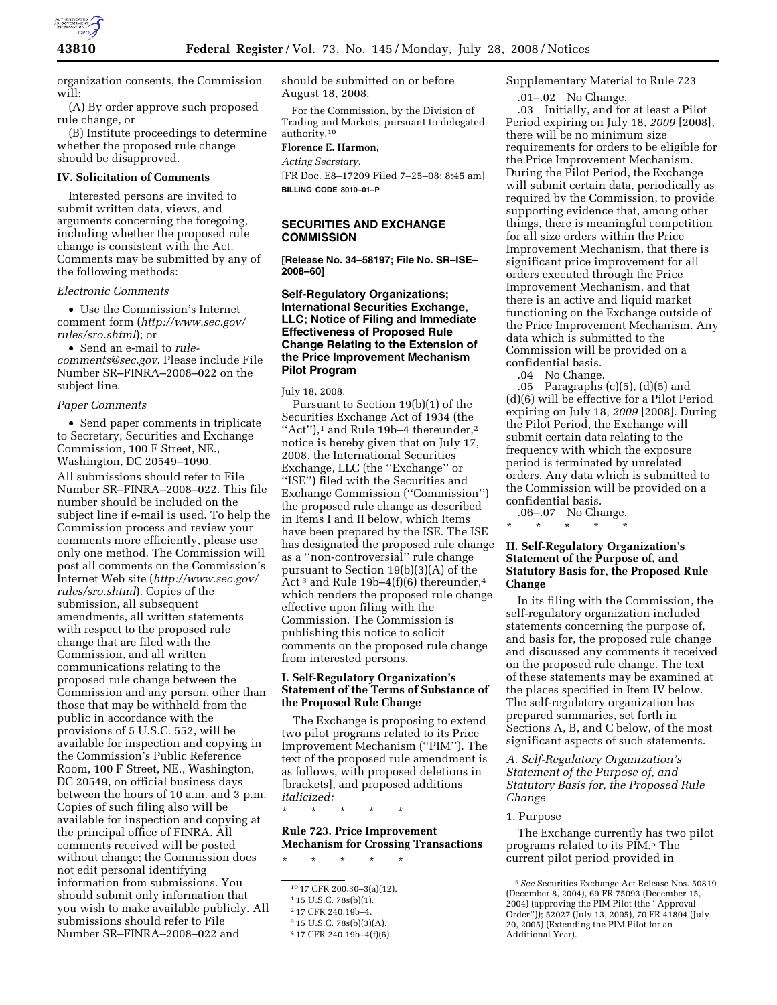

organization consents, the Commission will:

(A) By order approve such proposed rule change, or

(B) Institute proceedings to determine whether the proposed rule change should be disapproved.

#### **IV. Solicitation of Comments**

Interested persons are invited to submit written data, views, and arguments concerning the foregoing, including whether the proposed rule change is consistent with the Act. Comments may be submitted by any of the following methods:

#### *Electronic Comments*

• Use the Commission's Internet comment form (*http://www.sec.gov/ rules/sro.shtml*); or

• Send an e-mail to *rulecomments@sec.gov*. Please include File Number SR–FINRA–2008–022 on the subject line.

#### *Paper Comments*

• Send paper comments in triplicate to Secretary, Securities and Exchange Commission, 100 F Street, NE., Washington, DC 20549–1090. All submissions should refer to File Number SR–FINRA–2008–022. This file number should be included on the subject line if e-mail is used. To help the Commission process and review your comments more efficiently, please use only one method. The Commission will post all comments on the Commission's Internet Web site (*http://www.sec.gov/ rules/sro.shtml*). Copies of the submission, all subsequent amendments, all written statements with respect to the proposed rule change that are filed with the Commission, and all written communications relating to the proposed rule change between the Commission and any person, other than those that may be withheld from the public in accordance with the provisions of 5 U.S.C. 552, will be available for inspection and copying in the Commission's Public Reference Room, 100 F Street, NE., Washington, DC 20549, on official business days between the hours of 10 a.m. and 3 p.m. Copies of such filing also will be available for inspection and copying at the principal office of FINRA. All comments received will be posted without change; the Commission does not edit personal identifying information from submissions. You should submit only information that you wish to make available publicly. All submissions should refer to File Number SR–FINRA–2008–022 and

should be submitted on or before August 18, 2008.

For the Commission, by the Division of Trading and Markets, pursuant to delegated authority.10

# **Florence E. Harmon,**

*Acting Secretary.* 

[FR Doc. E8–17209 Filed 7–25–08; 8:45 am] **BILLING CODE 8010–01–P** 

# **SECURITIES AND EXCHANGE COMMISSION**

**[Release No. 34–58197; File No. SR–ISE– 2008–60]** 

# **Self-Regulatory Organizations; International Securities Exchange, LLC; Notice of Filing and Immediate Effectiveness of Proposed Rule Change Relating to the Extension of the Price Improvement Mechanism Pilot Program**

July 18, 2008.

Pursuant to Section 19(b)(1) of the Securities Exchange Act of 1934 (the "Act"),<sup>1</sup> and Rule 19b–4 thereunder,<sup>2</sup> notice is hereby given that on July 17, 2008, the International Securities Exchange, LLC (the ''Exchange'' or ''ISE'') filed with the Securities and Exchange Commission (''Commission'') the proposed rule change as described in Items I and II below, which Items have been prepared by the ISE. The ISE has designated the proposed rule change as a ''non-controversial'' rule change pursuant to Section 19(b)(3)(A) of the Act<sup>3</sup> and Rule 19b–4(f)(6) thereunder,<sup>4</sup> which renders the proposed rule change effective upon filing with the Commission. The Commission is publishing this notice to solicit comments on the proposed rule change from interested persons.

# **I. Self-Regulatory Organization's Statement of the Terms of Substance of the Proposed Rule Change**

The Exchange is proposing to extend two pilot programs related to its Price Improvement Mechanism (''PIM''). The text of the proposed rule amendment is as follows, with proposed deletions in [brackets], and proposed additions *italicized:* 

\* \* \* \* \*

**Rule 723. Price Improvement Mechanism for Crossing Transactions** 

\* \* \* \* \*

Supplementary Material to Rule 723

.01–.02 No Change.

.03 Initially, and for at least a Pilot Period expiring on July 18, *2009* [2008], there will be no minimum size requirements for orders to be eligible for the Price Improvement Mechanism. During the Pilot Period, the Exchange will submit certain data, periodically as required by the Commission, to provide supporting evidence that, among other things, there is meaningful competition for all size orders within the Price Improvement Mechanism, that there is significant price improvement for all orders executed through the Price Improvement Mechanism, and that there is an active and liquid market functioning on the Exchange outside of the Price Improvement Mechanism. Any data which is submitted to the Commission will be provided on a confidential basis.

.04 No Change.

.05 Paragraphs (c)(5), (d)(5) and (d)(6) will be effective for a Pilot Period expiring on July 18, *2009* [2008]. During the Pilot Period, the Exchange will submit certain data relating to the frequency with which the exposure period is terminated by unrelated orders. Any data which is submitted to the Commission will be provided on a confidential basis.

.06–.07 No Change. \* \* \* \* \*

# **II. Self-Regulatory Organization's Statement of the Purpose of, and Statutory Basis for, the Proposed Rule Change**

In its filing with the Commission, the self-regulatory organization included statements concerning the purpose of, and basis for, the proposed rule change and discussed any comments it received on the proposed rule change. The text of these statements may be examined at the places specified in Item IV below. The self-regulatory organization has prepared summaries, set forth in Sections A, B, and C below, of the most significant aspects of such statements.

*A. Self-Regulatory Organization's Statement of the Purpose of, and Statutory Basis for, the Proposed Rule Change* 

### 1. Purpose

The Exchange currently has two pilot programs related to its PIM.5 The current pilot period provided in

<sup>10</sup> 17 CFR 200.30–3(a)(12).

<sup>1</sup> 15 U.S.C. 78s(b)(1).

<sup>2</sup> 17 CFR 240.19b–4.

<sup>3</sup> 15 U.S.C. 78s(b)(3)(A).

<sup>4</sup> 17 CFR 240.19b–4(f)(6).

<sup>5</sup>*See* Securities Exchange Act Release Nos. 50819 (December 8, 2004), 69 FR 75093 (December 15, 2004) (approving the PIM Pilot (the ''Approval Order'')); 52027 (July 13, 2005), 70 FR 41804 (July 20, 2005) (Extending the PIM Pilot for an Additional Year).